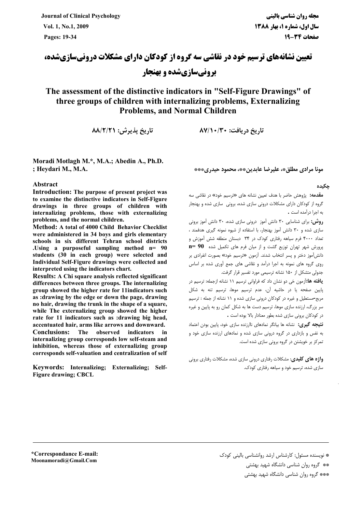**Journal of Clinical Psychology** Vol. 1, No.1, 2009 Pages: 19-34

**تعیین نشانههای ترسیم خود در نقاشی سه گروه از کودکان دارای مشکلات درونیسازیشده، برونیسازیشده و بهنجار** 

### The assessment of the distinctive indicators in "Self-Figure Drawings" of three groups of children with internalizing problems, Externalizing **Problems. and Normal Children**

تاريخ پذيرش: ٨٨/٢/٢١

Moradi Motlagh M.\*, M.A.; Abedin A., Ph.D. ; Heydari M., M.A.

#### Abstract

Introduction: The purpose of present project was to examine the distinctive indicators in Self-Figure drawings in three groups of children with internalizing problems, those with externalizing problems, and the normal children.

Method: A total of 4000 Child Behavior Checklist were administered in 34 boys and girls elementary schools in six different Tehran school districts Using a purposeful sampling method n= 90 students (30 in each group) were selected and Individual Self-Figure drawings were collected and interpreted using the indicators chart.

Results: A Chi square analysis reflected significant differences between three groups. The internalizing group showed the higher rate for 11 indicators such as :drawing by the edge or down the page, drawing no hair, drawing the trunk in the shape of a square, while The externalizing group showed the higher rate for 11 indicators such as :drawing big head. accentuated hair, arms like arrows and downward.

**Conclusions:** The observed indicators in internalizing group corresponds low self-steam and inhibition, whereas those of externalizing group corresponds self-valuation and centralization of self

Keywords: Internalizing; Externalizing; Self-**Figure drawing; CBCL** 

مونا مرادي مطلق»، عليرضا عابدينِ\*»، محمود حيدري\*\*\*

تا، یخ در یافت: ۱۳۰/ ۸۷/۱۰

#### حكىدە

**مقدمه:** پژوهش حاضر با هدف تعیین نشانه های «ترسیم خود» در نقاشی سه گروه از کودکان دارای مشکلات درونی سازی شده، برونی سازی شده و بهنجار به اجرا درآمده است .

**روش:** برای شناسایی ۳۰ دانش آموز درونی سازی شده، ۳۰ دانش آموز برونی سازی شده و ۳۰ دانش آموز بهنجار، با استفاده از شیوه نمونه گیری هدفمند ، .<br>تعداد ۴۰۰۰ فرم سیاهه رفتاری کودک در ۳۴ دبستان منطقه شش آموزش و  $n=90$  پرورش شهر تهران توزیع گشت و از میان فرم های تکمیل شده  $n=90$ دانش آموز دختر و پسر انتخاب شدند. آزمون «ترسیم خود» بصورت انفرادی بر روی گروه های نمونه به اجرا درآمد و نقاشی های جمع آوری شده بر اساس جدولی متشکل از ۱۵۰ نشانه ترسیمی مورد تفسیر قرار گرفت.

**یافته ها:**آزمون خی دو نشان داد که فراوانی ترسیم ۱۱ نشانه ازجمله: ترسیم در .<br>بایین صفحه با در حاشیه آن، عدم ترسیم موها، ترسیم تنه به شکل مربع-مستطیل و غیره در کودکان درونی سازی شده و ۱۱ نشانه از جمله : ترسیم سر بزرگ، ارزنده سازی موها، ترسیم دست ها به شکل کمان رو به پایین و غیره در کودکان برونی سازی شده بطور معنادار بالا بوده است .

.<br>**نتنحه گیری:** نشانه ها بیانگر نمادهای ناارزنده سازی خود، پایین بودن اعتماد به نفس و بازداری در گروه درونی سازی شده و نمادهای ارزنده سازی خود و تمرکز بر خویشتن در گروه برونی سازی شده است.

**واژه های کلیدی**: مشکلات رفتاری درونی سازی شده، مشکلات رفتاری برونی سازی شده، ترسیم خود و سیاهه رفتاری کودک.

\*Correspondance E-mail: Moonamoradi@Gmail.Com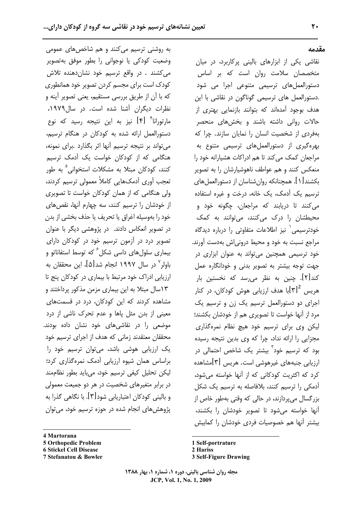به روشنی ترسیم میکنند و هم شاخصهای عمومی وضعیت کودکی یا نوجوانی را بطور موفق بهتصویر می کشند . در واقع ترسیم خود نشان دهنده تلاش کودک است برای مجسم کردن تصویر خود همانطوری كه با آن از طريق بررسي مستقيم، يعني تصوير آينه و نظرات دیگران آشنا شده است. در سال۱۹۷۹، مارتورانا<sup>۴</sup> [۴] نیز به این نتیجه رسید که نوع دستورالعمل ارائه شده به کودکان در هنگام ترسیم، می تواند بر نتیجه ترسیم آنها اثر بگذارد .برای نمونه، هنگامی که از کودکان خواست یک آدمک ترسیم کنند، کودکان مبتلا به مشکلات استخوانی<sup>۵</sup> به طور تعجب أورى أدمكهايي كاملاً معمولي ترسيم كردند، ولی هنگامی که از همان کودکان خواست تا تصویری از خودشان را ترسیم کنند، سه چهارم آنها، نقص های خود را بهوسيله اغراق يا تحريف يا حذف بخشي از بدن در تصویر انعکاس دادند. در پژوهشی دیگر با عنوان تصویر درد در آزمون ترسیم خود در کودکان دارای بیماری سلولهای داسی شکل ٔ که توسط استفاناتو و باولر $^{\vee}$  در سال ۱۹۹۷ انجام شد $[\mathfrak{a}]$ ، این محققان به ارزیابی ادراک خود مرتبط با بیماری در کودکان پنج تا ١٣سال مبتلا به اين بيماري مزمن مذكور پرداختند و مشاهده کردند که این کودکان، درد در قسمتهای معینی از بدن مثل پاها و عدم تحرک ناشی از درد موضعی را در نقاشیهای خود نشان داده بودند. محققان معتقدند زمانی که هدف از اجرای ترسیم خود یک ارزیابی هوشی باشد، میتوان ترسیم خود را براساس همان شیوه ارزیابی آدمک نمرهگذاری کرد؛ لیکن تحلیل کیفی ترسیم خود، میباید بطور نظاممند در برابر متغیرهای شخصیت در هر دو جمیعت معمولی و بالینی کودکان اعتباریابی شود[۳]. با نگاهی گذرا به پژوهشهای انجام شده در حوزه ترسیم خود، میتوان

- 4 Martorana
- **5 Orthopedic Problem**
- **6 Stickel Cell Disease**

نقاشی یکی از ابزارهای بالینی پرکاربرد، در میان متخصصان سلامت روان است که بر اساس دستورالعملهای ترسیمی متنوعی اجرا می شود .دستورالعمل های ترسیمی گوناگون در نقاشی با این هدف بوجود آمدهاند که بتوانند بازنمایی بهتری از حالات روانی داشته باشند و بخشهای منحصر بهفردی از شخصیت انسان را نمایان سازند. چرا که بهرهگیری از دستورالعملهای ترسیمی متنوع به مراجعان کمک می کند تا هم ادراکات هشیارانه خود را منعکس کنند و هم عواطف ناهوشیارشان را به تصویر بکشند [ ۱ ]. همچنانکه روانشناسان از دستورالعملهای ترسیم یک آدمک، یک خانه، درخت و غیره استفاده می کنند تا دریابند که مراجعان، چگونه خود و محیطشان را درک میکنند، میتوانند به کمک خودترسیمی بنیز اطلاعات متفاوتی را درباره دیدگاه مراجع نسبت به خود و محیط درونی اش بهدست آورند. خود ترسیمی همچنین می تواند به عنوان ابزاری در جهت توجه بیشتر به تصویر بدنی و خودانگاره عمل کند[۲]. چنین به نظر می٫رسد که نخستین بار هریس  $\left[\mathfrak{r}\right]^{2}$ با هدف ارزیابی هوش کودکان، در کنار اجرای دو دستورالعمل ترسیم یک زن و ترسیم یک مرد از آنها خواست تا تصویری هم از خودشان بکشند؛ لیکن وی برای ترسیم خود هیچ نظام نمرهگذاری مجزایی را ارائه نداد، چرا که وی بدین نتیجه رسیده بود که ترسیم خود<sup>"</sup> بیشتر یک شاخص احتمالی در ارزیابی جنبههای غیرهوشی است. هریس [۳]مشاهده کرد که اکثریت کودکانی که از آنها خواسته می شود، آدمکی را ترسیم کنند، بلافاصله به ترسیم یک شکل بزرگسال میپردازند، در حالی که وقتی بهطور خاص از آنها خواسته می شود تا تصویر خودشان را بکشند، بیشتر آنها هم خصوصیات فردی خودشان را کمابیش

1 Self-portrature 2 Hariss **3 Self-Figure Drawing** 

<sup>7</sup> Stefanatou & Bowler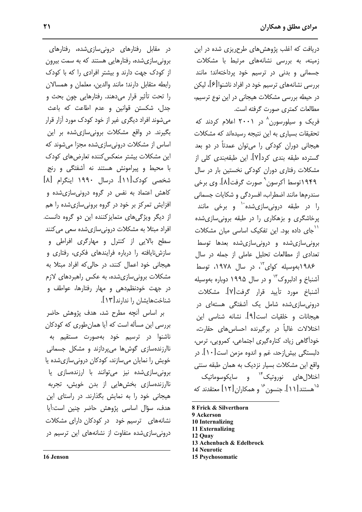دریافت که اغلب پژوهشهای طرحریزی شده در این زمینه، به بررسی نشانههای مرتبط با مشکلات جسمانی و بدنی در ترسیم خود پرداختهاند؛ مانند بررسی نشانههای ترسیم خود در افراد ناشنوا[۶]، لیکن در حیطه بررسی مشکلات هیجانی در این نوع ترسیم، مطالعات كمترى صورت گرفته است.

فریک و سیلورسورن<sup>^</sup> در ۲۰۰۱ اعلام کردند که تحقیقات بسیاری به این نتیجه رسیدهاند که مشکلات هیجانی دوران کودکی را میتوان عمدتاً در دو بعد گسترده طبقه بندی کرد[۷]. این طبقهبندی کلی از مشکلات رفتاری دوران کودکی نخستین بار در سال ۱۹۴۹توسط آکرسون<sup>۹</sup> صورت گرفت[۸]. وی برخی سندرمها مانند اضطراب، افسردگی و شکایات جسمانی را در طبقه درونیسازیشده<sup>۱۰</sup> و برخی مانند یرخاشگری و بزهکاری را در طبقه برونی سازی شده <sup>\'</sup>جای داده بود. این تفکیک اساسی میان مشکلات برونی سازی شده و درونی سازی شده بعدها توسط تعدادی از مطالعات تحلیل عاملی از جمله در سال ۱۹۸۶بهوسیله کوای<sup>۱٬</sup>، در سال ۱۹۷۸، توسط آشنباخ و ادلبروک<sup>۷٬</sup> و در سال ۱۹۹۵ دوباره بهوسیله أشنباخ مورد تأييد قرار گرفت[Y]. مشكلات درونی سازی شده شامل یک آشفتگی هستهای در هيجانات و خلقيات است[۹]. نشانه شناسی اين اختلالات غالباً در برگیرنده احساس های حقارت، خودآگاهی زیاد، کنارهگیری اجتماعی، کمرویی، ترس، دلبستگی بیش|زحد، غم و اندوه مزمن است[۱۰]. در واقع این مشکلات بسیار نزدیک به همان طبقه سنتی اختلال های نوروتیک<sup>۱۴</sup> و سایکوسوماتیک <sup>۱۵</sup>هستند[۱۱]. جنسون<sup>۱۶</sup> و همکاران[۱۲] معتقدند که

- 8 Frick & Silverthorn
- 9 Ackerson
- 10 Internalizing
- 11 Externalizing 12 Quay
- 13 Achenbach & Edelbrock
- **14 Neurotic**
- **15 Psychosomatic**

در مقابل رفتارهای درونیسازیشده، رفتارهای برونی سازی شده، رفتارهایی هستند که به سمت بیرون از کودک جهت دارند و بیشتر افرادی را که با کودک رابطه متقابل دارند؛ مانند والدين، معلمان و همسالان را تحت تأثیر قرار میدهند. رفتارهایی چون بحث و جدل، شکستن قوانین و عدم اطاعت که باعث می شوند افراد دیگری غیر از خود کودک مورد آزار قرار بگیرند. در واقع مشکلات برونیسازیشده بر این اساس از مشکلات درونی سازیشده مجزا می شوند که این مشکلات بیشتر منعکس کننده تعارضهای کودک با محیط و پیرامونش هستند نه آشفتگی و رنج شخصی کودک[۱۱]. درسال ۱۹۹۰ اینگرام [۸] کاهش اعتماد به نفس در گروه درونیسازیشده و افزایش تمرکز بر خود در گروه برونی سازی شده را هم از دیگر ویژگی های متمایز کننده این دو گروه دانست. افراد مبتلا به مشکلات درونی سازی شده سعی می کنند سطح بالایی از کنترل و مهارگری افراطی و سازشنایافته را درباره فرایندهای فکری، رفتاری و هیجانی خود اعمال کنند، در حالی که افراد مبتلا به مشکلات برونی سازی شده، به عکس راهبردهای لازم در جهت خودنظم دهی و مهار رفتارها، عواطف و شناختهایشان را ندارند[۱۳].

بر اساس آنچه مطرح شد، هدف پژوهش حاضر بررسی این مسأله است که آیا همان طوری که کودکان ناشنوا در ترسیم خود بهصورت مستقیم به ناارزندهسازی گوش ها می پردازند و مشکل جسمانی خویش را نمایان میسازند، کودکان درونیسازیشده یا برونی سازی شده نیز می توانند با ارزندهسازی یا ناارزندهسازی بخشهایی از بدن خویش، تجربه هیجانی خود را به نمایش بگذارند. در راستای این هدف، سؤال اساسی پژوهش حاضر چنین است:آیا نشانههای ترسیم خود در کودکان دارای مشکلات درونی سازی شده متفاوت از نشانههای این ترسیم در

16 Jenson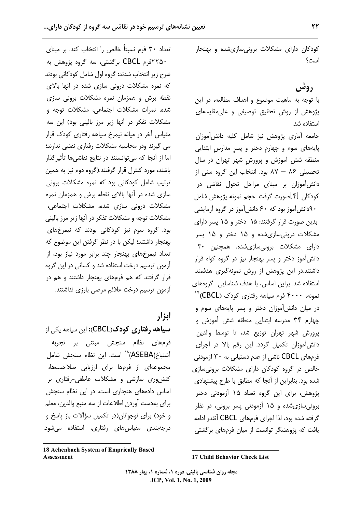کودکان دارای مشکلات برونی سازی شده و بهنجار است؟

### روش

با توجه به ماهیت موضوع و اهداف مطالعه، در این پژوهش از روش تحقیق توصیفی و علی مقایسهای استفاده شد.

جامعه آماری پژوهش نیز شامل کلیه دانش[موزان پایههای سوم و چهارم دختر و پسر مدارس ابتدایی منطقه شش آموزش و پرورش شهر تهران در سال تحصیلی ۸۶ - ۸۷ بود. انتخاب این گروه سنی از دانش آموزان بر مبنای مراحل تحول نقاشی در كودكان [۴]صورت گرفت. حجم نمونه پژوهش شامل ۹۰دانش آموز بود که ۶۰ دانش آموز در گروه آزمایشی بدین صورت قرار گرفتند: ۱۵ دختر و ۱۵ پسر دارای مشکلات درونی سازی شده و ۱۵ دختر و ۱۵ پسر دارای مشکلات برونیسازیشده. همچنین ۳۰ دانش آموز دختر و پسر بهنجار نیز در گروه گواه قرار داشتند.در این پژوهش از روش نمونهگیری هدفمند استفاده شد. براین اساس، با هدف شناسایی گروههای نمونه، ۴۰۰۰ فرم سیاهه رفتاری کودک (CBCL)<sup>۱۷</sup> در میان دانش آموزان دختر و پسر پایههای سوم و چهارم ۳۴ مدرسه ابتدایی منطقه شش آموزش و پرورش شهر تهران توزيع شد، تا توسط والدين دانش آموزان تکمیل گردد. این رقم بالا در اجرای فرمهای CBCL ناشی از عدم دستیابی به ۳۰ آزمودنی خالص در گروه کودکان دارای مشکلات برونی سازی شده بود. بنابراین از آنجا که مطابق با طرح پیشنهادی پژوهش، برای این گروه تعداد ۱۵ آزمودنی دختر برونی سازی شده و ۱۵ آزمودنی پسر برونی، در نظر گرفته شده بود، لذا اجرای فرمهای CBCL آنقدر ادامه یافت که پژوهشگر توانست از میان فرمهای برگشتی

تعداد ٣٠ فرم نسبتاً خالص را انتخاب كند. بر مبناي ۲۲۵۰فرم CBCL برگشتی، سه گروه پژوهش به شرح زير انتخاب شدند: گروه اول شامل كودكاني بودند که نمره مشکلات درونی سازی شده در آنها بالای نقطه برش و همزمان نمره مشکلات برونی سازی شده، نمرات مشکلات اجتماعی، مشکلات توجه و مشکلات تفکر در آنها زیر مرز بالینی بود) این سه مقیاس آخر در میانه نیمرخ سیاهه رفتاری کودک قرار می گیرند ودر محاسبه مشکلات رفتاری نقشی ندارند؛ اما از آنجا که می توانستند در نتایج نقاشی ها تأثیر گذار باشند، مورد کنترل قرار گرفتند.(گروه دوم نیز به همین ترتیب شامل کودکانی بود که نمره مشکلات برونی سازی شده در آنها بالای نقطه برش و همزمان نمره مشکلات درونی سازی شده، مشکلات اجتماعی، مشكلات توجه و مشكلات تفكر در آنها زير مرز باليني بود. گروه سوم نیز کودکانی بودند که نیمرخهای بهنجار داشتند؛ لیکن با در نظر گرفتن این موضوع که تعداد نیمرخهای بهنجار چند برابر مورد نیاز بود، از آزمون ترسیم درخت استفاده شد و کسانی در این گروه قرار گرفتند که هم فرمهای بهنجار داشتند و هم در آزمون ترسیم درخت علائم مرضی بارزی نداشتند.

## ابزار

**سیاهه رفتاری کودک(CBCL):** این سیاهه یکی از فرمهای نظام سنجش مبتنی بر تجربه آشنباخ(ASEBA)<sup>۱۸</sup> است. این نظام سنجش شامل مجموعهای از فرمها برای ارزیابی صلاحیتها، کنش وری سازشی و مشکلات عاطفی-رفتاری بر اساس دادههای هنجاری است. در این نظام سنجش براي بهدست آوردن اطلاعات از سه منبع والدين، معلم و خود) برای نوجوانان(در تکمیل سؤالات باز پاسخ و درجهبندی مقیاسهای رفتاری، استفاده میشود.

<sup>18</sup> Achenbach System of Emprically Based **Assessment** 

**<sup>17</sup> Child Behavior Check List**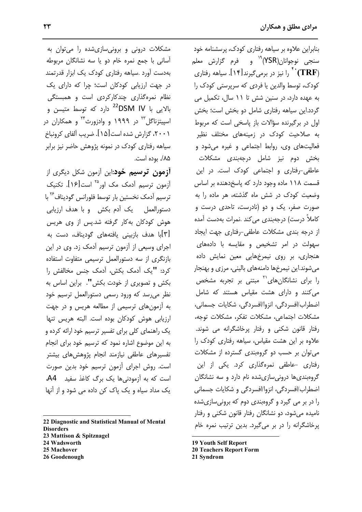بنابراین علاوه بر سیاهه رفتاری کودک، پرسشنامه خود سنجی نوجوانان(YSR<sup>)°۱</sup> و فرم گزارش معلم را نیز در برمیگیرند $[1\$ . سیاهه رفتاری  $``\mathbf{(TRF)}$ کودک، توسط والدین یا فردی که سرپرستی کودک را به عهده دارد، در سنین شش تا ١١ سال، تكميل مى گردد.این سیاهه رفتاری شامل دو بخش است؛ بخش اول در برگیرنده سؤالات باز یاسخی است که مربوط به صلاحیت کودک در زمینههای مختلف نظیر فعالیتهای وی، روابط اجتماعی و غیره می شود و بخش دوم نیز شامل درجهبندی مشکلات عاطفی-رفتاری و اجتماعی کودک است. در این قسمت ١١٨ ماده وجود دارد كه ياسخ دهنده بر اساس وضعیت کودک در شش ماه گذشته، هر ماده را به صورت صفر، یک و دو (نادرست، تاحدی درست و کاملاً درست) درجهبندی می کند .نمرات بهدست آمده از درجه بندی مشکلات عاطفی-رفتاری جهت ایجاد سهولت در امر تشخیص و مقایسه با دادههای هنجاری، بر روی نیمرخهایی معین نمایش داده میشوند.این نیمرخها دامنههای بالینی، مرزی و بهنجار را برای نشانگانهای<sup>۲۱</sup> مبتنی بر تجربه مشخص می کنند و دارای هشت مقیاس هستند که شامل اضطراب/افسردگی، انزوا/افسردگی، شکایات جسمانی، مشكلات اجتماعى، مشكلات تفكر، مشكلات توجه، رفتار قانون شکنی و رفتار پرخاشگرانه می شوند. علاوه بر این هشت مقیاس، سیاهه رفتاری کودک را می توان بر حسب دو گروهبندی گسترده از مشکلات رفتاری -عاطفی نمرهگذاری کرد. یکی از این گروهبندیها درونیسازیشده نام دارد و سه نشانگان اضطراب/افسردگی، انزوا/افسردگی و شکایات جسمانی را در بر می گیرد و گروهبندی دوم که برونیسازیشده نامیده می شود، دو نشانگان رفتار قانون شکنی و رفتار پرخاشگرانه را در بر میگیرد. بدین ترتیب نمره خام

- **19 Youth Self Report**
- **20 Teachers Report Form**

21 Syndrom

مشکلات درونی و برونیسازیشده را میتوان به آساني با جمع نمره خام دو يا سه نشانگان مربوطه بهدست آورد .سیاهه رفتاری کودک یک ابزار قدرتمند در جهت ارزیابی کودکان است؛ چرا که دارای یک نظام نمرهگذاری چندکارکردی است و همبستگی بالایی با DSM IV<sup>22</sup> دارد که توسط متیسن و اسییتزناگل<sup>۲۳</sup> در ۱۹۹۹ و وادزورث<sup>۲۴</sup> و همکاران در ۲۰۰۱، گزارش شده است[۱۵]. ضریب آلفای کرونباخ سیاهه رفتاری کودک در نمونه پژوهش حاضر نیز برابر ۸۵/. بوده است.

**آزمون ترسیم خود**:این آزمون شکل دیگری از أزمون ترسيم أدمك مک اور<sup>۲۵</sup> است[۱۶]. تكنيک ترسیم آدمک نخستین بار توسط فلورانس گودیناف<sup>۲۶</sup> با دستورالعمل یک آدم بکش و با هدف ارزیابی هوش کودکان به کار گرفته شد.پس از وی هریس [۳]با هدف بازبینی یافتههای گودیناف، دس*ت* به اجرای وسیعی از آزمون ترسیم آدمک زد. وی در این بازنگری از سه دستورالعمل ترسیمی متفاوت استفاده كرد: "يك أدمك بكش، أدمك جنس مخالفش را بكش و تصويرى از خودت بكش". براين اساس به نظر میرسد که ورود رسمی دستورالعمل ترسیم خود به آزمونهای ترسیمی از مطالعه هریس و در جهت ارزیابی هوش کودکان بوده است. البته هریس تنها یک راهنمای کلی برای تفسیر ترسیم خود ارائه کرده و به این موضوع اشاره نمود که ترسیم خود برای انجام تفسیرهای عاطفی نیازمند انجام پژوهش های بیشتر است. روش اجرای آزمون ترسیم خود بدین صورت است که به آزمودنی ها یک برگ کاغذ سفید **A4**، یک مداد سیاہ و یک پاک کن دادہ می شود و از آنها

22 Diagnostic and Statistical Manual of Mental **Disorders** 23 Mattison & Spitznagel

- 24 Wadsworth
- 25 Machover
- 26 Goodenough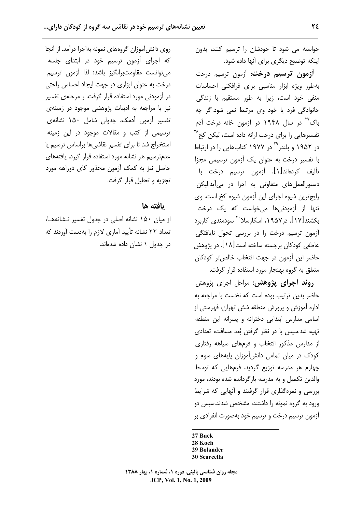خواسته می شود تا خودشان را ترسیم کنند، بدون اینکه توضیح دیگری برای آنها داده شود.

**آزمون ترسیم درخت**: آزمون ترسیم درخت بهطور ويژه ابزار مناسبي براي فرافكني احساسات منفی خود است، زیرا به طور مستقیم با زندگی خانوادگی فرد یا خود وی مرتبط نمی شود.اگر چه باک<sup>۳۷</sup> در سال ۱۹۴۸ در آزمون خانه-درخت-آدم تفسیرهایی را برای درخت ارائه داده است، لیکن کخ<sup>۲۸</sup> در ۱۹۵۲ و بلندر<sup>۲۹</sup> در ۱۹۷۷ کتابهایی را در ارتباط با تفسیر درخت به عنوان یک آزمون ترسیمی مجزا تأليف كردهاند[١]. آزمون ترسيم درخت با دستورالعمل های متفاوتی به اجرا در می آید.لیکن رايج ترين شيوه اجراى اين آزمون شيوه كخ است. وى تنها از آزمودنیها میخواست که یک درخت بکشند[۱۷]. در ۱۹۵۷، اسکارسلا<sup>۳۰</sup> سودمندی کاربرد آزمون ترسیم درخت را در بررسی تحول نایافتگی عاطفي كودكان برجسته ساخته است[١٨]. در پژوهش حاضر این آزمون در جهت انتخاب خالصتر کودکان متعلق به گروه بهنجار مورد استفاده قرار گرفت.

**روند اجرای پژوهش:** مراحل اجرای پژوهش حاضر بدین ترتیب بوده است که نخست با مراجعه به اداره آموزش و پرورش منطقه شش تهران، فهرستی از اسامی مدارس ابتدایی دخترانه و پسرانه این منطقه تهیه شد.سپس با در نظر گرفتن بُعد مسافت، تعدادی از مدارس مذکور انتخاب و فرمهای سیاهه رفتاری کودک در میان تمامی دانش آموزان پایههای سوم و چهارم هر مدرسه توزیع گردید. فرمهایی که توسط والدین تکمیل و به مدرسه بازگردانده شده بودند، مورد بررسی و نمره گذاری قرار گرفتند و آنهایی که شرایط ورود به گروه نمونه را داشتند، مشخص شدند.سیس دو آزمون ترسیم درخت و ترسیم خود بهصورت انفرادی بر

27 Buck

28 Koch 29 Bolander

مجله روان شناسی بالینی، دوره ۱، شماره ۱، بهار ۱۳۸۸ JCP, Vol. 1, No. 1, 2009

روی دانش آموزان گروههای نمونه بهاجرا درآمد. از آنجا که اجرای آزمون ترسیم خود در ابتدای جلسه مى توانست مقاومتبرانگيز باشد؛ لذا آزمون ترسيم درخت به عنوان ابزاری در جهت ایجاد احساس راحتی در آزمودنی مورد استفاده قرار گرفت. ر مرحلهی تفسیر نیز با مراجعه به ادبیات پژوهشی موجود در زمینهی تفسیر آزمون آدمک، جدولی شامل ۱۵۰ نشانهی ترسیمی از کتب و مقالات موجود در این زمینه استخراج شد تا برای تفسیر نقاشی ها براساس ترسیم یا عدمترسیم هر نشانه مورد استفاده قرار گیرد. یافتههای حاصل نیز به کمک آزمون مجذور کای دوراهه مورد تجزیه و تحلیل قرار گرفت.

### يافته ها

از میان ۱۵۰ نشانه اصلی در جدول تفسیر نـشانههـا، تعداد ٢٢ نشانه تأييد آماري لازم را بهدست آوردند كه در جدول ۱ نشان داده شدهاند.

**<sup>30</sup> Scarcella**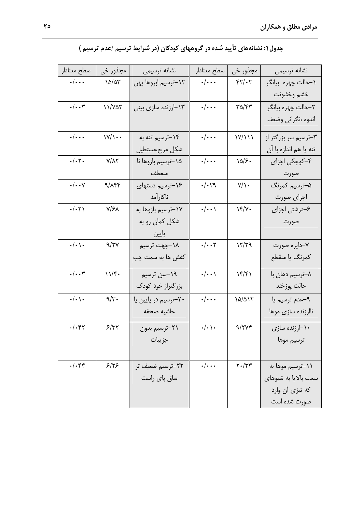| سطح معنادار                   | مجذور خي                           | نشانه ترسيمي                    | سطح معنادار                   | مجذور خي                                    | نشانه ترسیمی            |
|-------------------------------|------------------------------------|---------------------------------|-------------------------------|---------------------------------------------|-------------------------|
| $\cdot/\cdot\cdot$            | $\lambda \Delta / \Delta \Upsilon$ | ۱۲–ترسیم ابروها پهن             | $\cdot/\cdot\cdot$            | $YY/\cdot Y$                                | ۱–حالت چهره بیانگر      |
|                               |                                    |                                 |                               |                                             | خشم وخشونت              |
| $\cdot/\cdot\cdot$ ۳          | 11/407                             | ۱۳–ارزنده سازی بینی             | $\cdot/\cdot\cdot$            | $\mathsf{r}\mathsf{a}/\mathsf{r}\mathsf{r}$ | ۲–حالت چهره بیانگر      |
|                               |                                    |                                 |                               |                                             | اندوه ،نگرانی وضعف      |
| $\cdot/\cdot\cdot$            | $\frac{1}{\sqrt{1}}$               | ۱۴-ترسیم تنه به                 | $\cdot/\cdot\cdot$            | Y/Y                                         | ۳–ترسیم سر بزرگتر از    |
|                               |                                    | شكل مربع،مستطيل                 |                               |                                             | تنه يا هم اندازه با آن  |
| $\cdot/\cdot$ ۲۰              | $Y/\lambda Y$                      | ۱۵–ترسیم بازوها <mark>نا</mark> | $\cdot/\cdot\cdot$            | $\lambda \Delta / S$                        | ۴–کوچکی اجزای           |
|                               |                                    | منعطف                           |                               |                                             | صورت                    |
| $\cdot/\cdot\cdot$ Y          | 9/144                              | ۱۶–ترسیم دستهای                 | $\cdot/\cdot$ $\zeta$         | $Y/\mathcal{R}$                             | ۵–ترسیم کمرنگ           |
|                               |                                    | ناكارآمد                        |                               |                                             | اجزاى صورت              |
| $\cdot/\cdot\tau$             | $Y/\mathcal{F}$                    | ۱۷–ترسیم بازوها به              | $\cdot/\cdot\cdot$ \          | $\gamma$                                    | ۶–درشتی اجزای           |
|                               |                                    | شکل کمان رو به                  |                               |                                             | صورت                    |
|                               |                                    | پایین                           |                               |                                             |                         |
| $\cdot/\cdot$ ) $\cdot$       | 9/7V                               | ۱۸–جهت ترسیم                    | $\cdot/\cdot\cdot$ ۲          | 17/T9                                       | ۷–دایره صورت            |
|                               |                                    | کفش ها به سم <i>ت چ</i> پ       |                               |                                             | كمرنگ يا منقطع          |
| $\cdot/\cdot\cdot$ ۳          | 11/f.                              | ۱۹–سن ترسیم                     | $\cdot/\cdot\cdot$            | $\frac{16}{5}$                              | ۸–ترسیم دها <i>ن</i> با |
|                               |                                    | بزرگتراز خود کودک               |                               |                                             | حالت پوزخند             |
| $\cdot/\cdot \setminus \cdot$ | $9/\tilde{r}$ .                    | ۲۰–ترسیم در پایین یا            | $\cdot/\cdot\cdot$            | $\Delta/\Delta$                             | ۹-عدم ترسيم يا          |
|                               |                                    | حاشيه صحفه                      |                               |                                             | ناارزنده سازى موها      |
| ۰/۰۴۲                         | 5/77                               | ٢١-ترسيم بدون                   | $\cdot/\cdot \setminus \cdot$ | 9/7Yf                                       | ۱۰–ارزنده سازی          |
|                               |                                    | جز پیات                         |                               |                                             | ترسيم موها              |
|                               |                                    |                                 |                               |                                             |                         |
| $\cdot/\cdot$ ۴۴              | 5/55                               | ٢٢-ترسيم ضعيف تر                | $\cdot/\cdot\cdot\cdot$       | $Y \cdot / YY$                              | ۱۱–ترسیم موها به        |
|                               |                                    | ساق پای راست                    |                               |                                             | سمت بالایا به شیوهای    |
|                               |                                    |                                 |                               |                                             | که تیزی آن وارد         |
|                               |                                    |                                 |                               |                                             | صورت شده است            |

# جدول ۱: نشانههای تأیید شده در گروههای کودکان (در شرایط ترسیم /عدم ترسیم )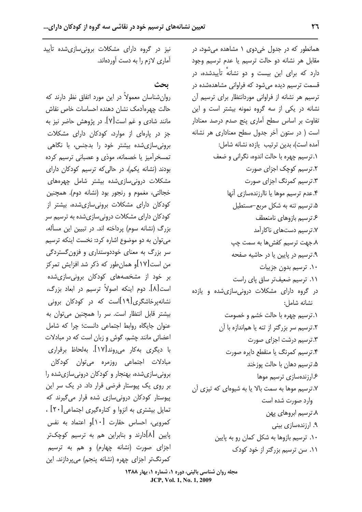همانطور که در جدول خیدوی ۱ مشاهده میشود، در مقابل هر نشانه دو حالت ترسيم يا عدم ترسيم وجود دارد که برای این بیست و دو نشانه تأییدشده، در قسمت ترسیم دیده می شود که فراوانی مشاهدهشده در ترسیم هر نشانه از فراوانی موردانتظار برای ترسیم آن نشانه در یکی از سه گروه نمونه بیشتر است و این تفاوت بر اساس سطح آماری پنج صدم درصد معنادار است ( در ستون آخر جدول سطح معناداری هر نشانه آمده است)، بدین ترتیب یازده نشانه شامل: ٠.ترسيم چهره با حالت اندوه، نگراني و ضعف ۲.ترسیم کوچک اجزای صورت ۰۳ ترسیم کمرنگ اجزای صورت ۴.عدم ترسیم موها یا ناارزندهسازی آنها ۵. ترسیم تنه به شکل مربع-مستطیل ع ترسیم بازوهای نامنعطف ۷.ترسیم دستهای ناکارآمد ۸ جهت ترسیم کفش ها به سمت چپ ۹. ترسیم در پایین یا در حاشیه صفحه ١٠. ترسيم بدون جزييات ١١. ترسيم ضعيفتر ساق پاى راست در گروه دارای مشکلات درونی سازی شده و یازده نشانه شامل: ٠.ترسيم چهره با حالت خشم و خصومت ۲.ترسیم سر بزرگتر از تنه یا هماندازه با آن ۳. ترسیم درشت اجزای صورت ۴.ترسیم کمرنگ یا منقطع دایره صورت ۵. ترسیم دهان با حالت یوزخند ۱۶.زندهسازی ترسیم موها ۷.ترسیم موها به سمت بالا یا به شیوهای که تیزی آن وارد صورت شده است ۸. ترسیم ابروهای پهن ۹. ارزندهسازی بینی ١٠. ترسيم بازوها به شكل كمان رو به پايين ١١. سن ترسيم بزرگتر از خود كودك

نیز در گروه دارای مشکلات برونی سازی شده تأیید آماری لازم را به دست آوردهاند.

بحث

روان شناسان معمولاً در این مورد اتفاق نظر دارند که حالت چهرهآدمک نشان دهنده احساسات خاص نقاش مانند شادی و غم است[۷]. در پژوهش حاضر نیز به جز در پارهای از موارد، کودکان دارای مشکلات برونی سازی شده بیشتر خود را بدجنس، با نگاهی تمسخرآمیز یا خصمانه، موذی و عصبانی ترسیم کرده بودند (نشانه یکم)، در حالی که ترسیم کودکان دارای مشکلات درونی سازی شده بیشتر شامل چهرههای خجالتي، مغموم و رنجور بود (نشانه دوم). همچنین کودکان دارای مشکلات برونی سازی شده، بیشتر از کودکان دارای مشکلات درونی سازی شده به ترسیم سر بزرگ (نشانه سوم) پرداخته اند. در تبیین این مسأله، می توان به دو موضوع اشاره کرد: نخست اینکه ترسیم سر بزرگ به معنای خوددوستداری و فزون گستردگی من است[۱۷]و همان طور که ذکر شد افزایش تمرکز بر خود از مشخصههای کودکان برونی،سازیشده است[٨]. دوم اينكه اصولاً ترسيم در ابعاد بزرگ، نشانهپرخاشگری[۱۹]است که در کودکان برونی بیشتر قابل انتظار است. سر را همچنین می توان به عنوان جايگاه روابط اجتماعي دانست؛ چرا كه شامل اعضائی مانند چشم، گوش و زبان است که در مبادلات با دیگری بهکار می٫روند[۱۷]. بهلحاظ برقراری مبادلات اجتماعی روزمرہ می<sup>توا</sup>ن کودکان برونی سازی شده، بهنجار و کودکان درونی سازی شده را بر روی یک پیوستار فرضی قرار داد. در یک سر این پیوستار کودکان درونی سازی شده قرار می گیرند که تمایل بیشتری به انزوا و کنارهگیری اجتماعی [۲۰] ، کمرویی، احساس حقارت [۱۰]و اعتماد به نفس یایین [۸]دارند و بنابراین هم به ترسیم کوچکتر اجزای صورت (نشانه چهارم) و هم به ترسیم كمرنگتر اجزاي چهره (نشانه پنجم) ميپردازند. اين

> مجله روان شناسی بالینی، دوره ۱، شماره ۱، بهار ۱۳۸۸ JCP, Vol. 1, No. 1, 2009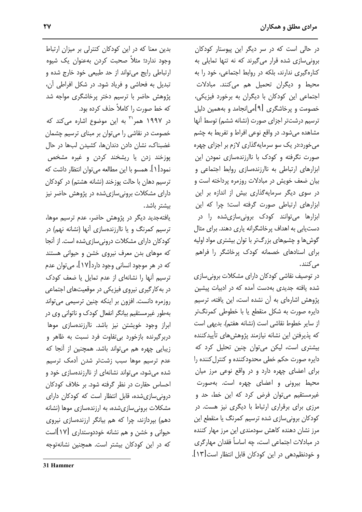در حالی است که در سر دیگر این پیوستار کودکان برونی سازی شده قرار میگیرند که نه تنها تمایلی به کنارهگیری ندارند، بلکه در روابط اجتماعی، خود را به محیط و دیگران تحمیل هم میکنند. مبادلات اجتماعی این کودکان با دیگران به برخورد فیزیکی، خصومت و پرخاشگری [۹]می|نجامد و بههمین دلیل ترسيم درشتتر اجزاي صورت (نشانه ششم) توسط آنها مشاهده میشود. در واقع نوعی افراط و تفریط به چشم مي خورد:در يک سو سرمايه گذاري لازم بر اجزاي چهره صورت نگرفته و کودک با ناارزندهسازی نمودن این ابزارهای ارتباطی به ناارزندهسازی روابط اجتماعی و بیان ضعف خویش در مبادلات روزمره پرداخته است و در سوی دیگر سرمایهگذاری بیش از اندازه بر این ابزارهای ارتباطی صورت گرفته است؛ چرا که این ابزارها می *ت*وانند کودک برونی سازی شده را در دست یابی به اهداف پرخاشگرانه پاری دهند. برای مثال گوش ها و چشمهای بزرگتر با توان بیشتری مواد اولیه برای اسنادهای خصمانه کودک پرخاشگر را فراهم مے کنند.

در توصیف نقاشی کودکان دارای مشکلات برونی سازی شده یافته جدیدی بهدست آمده که در ادبیات پیشین پژوهش اشارهای به آن نشده است، این یافته، ترسیم دایره صورت به شکل منقطع یا با خطوطی کمرنگتر از سایر خطوط نقاشی است (نشانه هفتم). بدیهی است كه يذيرفتن اين نشانه نيازمند يژوهش هاي تأييدكننده بیشتری است، لیکن می توان چنین تحلیل کرد که دایره صورت حکم خطی محدودکننده و کنترل کننده را برای اعضای چهره دارد و در واقع نوعی مرز میان محیط بیرونی و اعضای چهره است. بهصورت غیرمستقیم می توان فرض کرد که این خط، حد و مرزی برای برقراری ارتباط با دیگری نیز هست. در کودکان برونی سازی شده ترسیم کمرنگ یا منقطع این مرز نشان دهنده کاهش سودمندی این مرز مهار کننده در مبادلات اجتماعی است، چه اساساً فقدان مهارگری و خودنظم دهی در این کودکان قابل انتظار است [۱۳].

بدین معنا که در این کودکان کنترلی بر میزان ارتباط وجود ندارد؛ مثلاً صحبت كردن بهعنوان يك شيوه ارتباطی رایج میتواند از حد طبیعی خود خارج شده و تبدیل به فحاشی و فریاد شود. در شکل افراطی آن، پژوهش حاضر با ترسیم دختر پرخاشگری مواجه شد كه خط صورت را كاملاً حذف كرده بود.

در ۱۹۹۷ همر<sup>۳۱</sup> به این موضوع اشاره می *ک*ند که خصومت در نقاشی را می توان بر مبنای ترسیم چشمان غضبناک، نشان دادن دندانها، کشیدن لبها در حال پوزخند زدن یا ریشخند کردن و غیره مشخص نمود[۱]. همسو با این مطالعه می توان انتظار داشت که ترسیم دهان با حالت یوزخند (نشانه هشتم) در کودکان دارای مشکلات برونی سازیشده در پژوهش حاضر نیز بيشتر باشد.

یافتهجدید دیگر در پژوهش حاضر، عدم ترسیم موها، ترسیم کمرنگ و یا ناارزندهسازی آنها (نشانه نهم) در كودكان داراي مشكلات دروني سازي شده است. از آنجا که موهای بدن معرف نیروی خشن و حیوانی هستند که در هر موجود انسانی وجود دارد[۱۷]، می توان عدم ترسیم آنها را نشانهای از عدم تمایل یا ضعف کودک در به کار گیری نیروی فیزیکی در موقعیتهای اجتماعی روزمرہ دانست. افزون بر اینکه چنین ترسیمی می تواند بهطور غیرمستقیم بیانگر انفعال کودک و ناتوانی وی در ابراز وجود خویشتن نیز باشد. ناارزندهسازی موها دربرگیرنده بازخورد بی تفاوت فرد نسبت به ظاهر و زیبایی چهره هم می تواند باشد. همچنین از آنجا که عدم ترسيم موها سبب زشتتر شدن أدمك ترسيم شده می شود، می تواند نشانهای از ناارزندهسازی خود و احساس حقارت در نظر گرفته شود. بر خلاف کودکان درونی سازی شده، قابل انتظار است که کودکان دارای مشکلات برونیسازیشده، به ارزندهسازی موها (نشانه دهم) بپردازند، چرا که هم بیانگر ارزندهسازی نیروی حیوانی و خشن و هم نشانه خوددوستداری [۱۷]است که در این کودکان بیشتر است. همچنین نشانهتوجه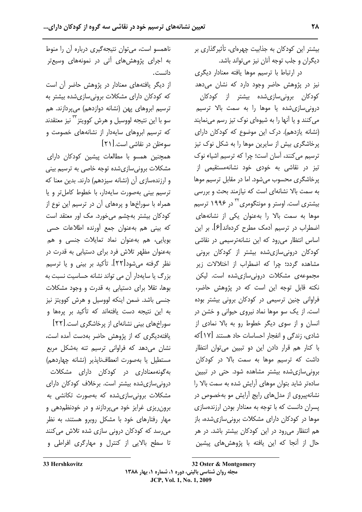بیشتر این کودکان به جذابیت چهرهای، تأثیرگذاری بر دیگران و جلب توجه آنان نیز میتواند باشد.

در ارتباط با ترسيم موها يافته معنادار ديگرى نیز در پژوهش حاضر وجود دارد که نشان میدهد کودکان برونیسازیشده بیشتر از کودکان درونی سازی شده یا موها را به سمت بالا ترسیم می کنند و یا آنها را به شیوهای نوک تیز رسم می نمایند (نشانه یازدهم). درک این موضوع که کودکان دارای یرخاشگری بیش از سایرین موها را به شکل نوک تیز ترسیم می کنند، آسان است؛ چرا که ترسیم اشیاء نوک تیز در نقاشی به خودی خود نشانهمستقیمی از پرخاشگری محسوب میشود. اما در مقابل ترسیم موها به سمت بالا نشانهای است که نیازمند بحث و بررسی بیشتری است. اوستر و مونتگومری<sup>۳۲</sup> در ۱۹۹۶ ترسیم موها به سمت بالا را بهعنوان یکی از نشانههای اضطراب در ترسیم أدمک مطرح کردهاند[۶]. بر این اساس انتظار می رود که این نشانهترسیمی در نقاشی کودکان درونی،سازیشده بیشتر از کودکان برونی مشاهده گردد؛ چرا که اضطراب از اختلالات زیر مجموعه ی مشکلات درونی سازی شده است. لیکن نکته قابل توجه این است که در پژوهش حاضر، فراوانی چنین ترسیمی در کودکان برونی بیشتر بوده است. از یک سو موها نماد نیروی حیوانی و خشن در انسان و از سوى ديگر خطوط رو به بالا نمادى از شادی، زندگی و انفجار احساسات حاد هستند [١٧] که با کنار هم قرار دادن این دو تبیین می توان انتظار داشت که ترسیم موها به سمت بالا در کودکان برونی سازی شده بیشتر مشاهده شود. حتی در تبیین سادهتر شاید بتوان موهای آرایش شده به سمت بالا را نشانهیپروی از مدلهای رایج آرایش مو بهخصوص در پسران دانست که با توجه به معنادار بودن ارزندهسازی موها در کودکان دارای مشکلات برونی سازی شده، باز هم انتظار می رود در این کودکان بیشتر باشد. در هر حال از آنجا که این یافته با پژوهشهای پیشین

از دیگر یافتههای معنادار در پژوهش حاضر آن است که کودکان دارای مشکلات برونیسازیشده بیشتر به ترسیم ابروهای یهن (نشانه دوازدهم) می پردازند. هم سو با این نتیجه لووسیل و هرش کوویتز <sup>۳</sup> نیز معتقدند که ترسیم ابروهای سایهدار از نشانههای خصومت و سوءظن در نقاشی است.[۲۱]

همچنین همسو با مطالعات پیشین کودکان دارای مشکلات برونی سازی شده توجه خاصی به ترسیم بینی و ارزندهسازی آن (نشانه سیزدهم) دارند. بدین معنا که ترسیم بینی بهصورت سایهدار، با خطوط کاملتر و یا همراه با سوراخها و پرههای آن در ترسیم این نوع از کودکان بیشتر بهچشم می خورد. مک اور معتقد است که بینی هم بهعنوان جمع أورنده اطلاعات حسی بویایی، هم بهعنوان نماد تمایلات جنسی و هم بهعنوان مظهر تلاش فرد برای دستیابی به قدرت در نظر گرفته می شود[۲۲]. تأکید بر بینی و یا ترسیم بزرگ یا سایهدار آن می تواند نشانه حساسیت نسبت به بوها، تقلا برای دستیابی به قدرت و وجود مشکلات جنسی باشد. ضمن اینکه لووسیل و هرش کوویتز نیز به این نتیجه دست یافتهاند که تأکید بر پرهها و

سوراخهای بینی نشانهای از پرخاشگری است.[۲۲] یافتهدیگری که از پژوهش حاضر بهدست آمده است، نشان میدهد که فراوانی ترسیم تنه بهشکل مربع مستطيل يا بهصورت انعطاف ناپذير (نشانه چهاردهم) بهگونهمعناداری در کودکان دارای مشکلات درونی سازی شده بیشتر است. برخلاف کودکان دارای مشکلات برونی سازی شده که بهصورت تکانشی به برون ریزی غرایز خود میپردازند و در خودنظم دهی و مهار رفتارهای خود با مشکل روبرو هستند، به نظر می رسد که کودکان درونی سازی شده تلاش میکنند تا سطح بالایی از کنترل و مهارگری افراطی و

32 Oster & Montgomery مجله روان شناسی بالینی، دوره ۱، شماره ۱، بهار ۱۳۸۸ JCP, Vol. 1, No. 1, 2009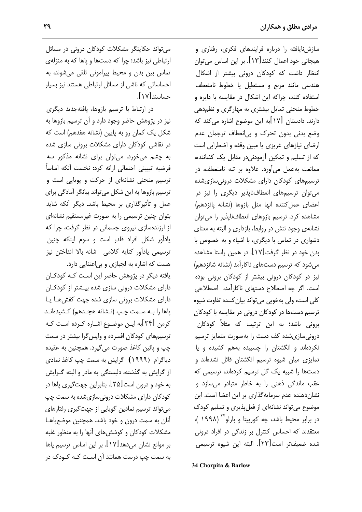سازشنایافته را درباره فرایندهای فکری، رفتاری و هيجاني خود اعمال كنند [١٣]. بر اين اساس مي توان انتظار داشت که کودکان درونی بیشتر از اشکال هندسی مانند مربع و مستطیل یا خطوط نامنعطف استفاده کنند، چراکه این اشکال در مقایسه با دایره و خطوط منحنی تمایل بیشتری به مهارگری و نظم دهی دارند. دادستان [۱۷]به این موضوع اشاره می کند که وضع بدنی بدون تحرک و بی|نعطاف ترجمان عدم ارضای نیازهای غریزی یا مبین وقفه و اضطرابی است که از تسلیم و تمکین آزمودنی در مقابل یک کشاننده، ممانعت به عمل می آورد. علاوه بر تنه نامنعطف، در ترسیمهای کودکان دارای مشکلات درونی سازی شده می توان ترسیمهای انعطافنایذیر دیگری را نیز در اعضاى عمل كننده أنها مثل بازوها (نشانه يانزدهم) مشاهده کرد. ترسیم بازوهای انعطافنایذیر را می توان نشانهی وجود تنش در روابط، بازداری و البته به معنای دشواری در تماس با دیگری، با اشیاء و به خصوص با بدن خود در نظر گرفت[۱۷]. در همین راستا مشاهده می شود که ترسیم دستهای ناکارآمد (نشانه شانزدهم) نیز در کودکان درونی بیشتر از کودکان برونی بوده است. اگر چه اصطلاح دستهای ناکارآمد، اصطلاحی كلي است، ولي بهخوبي مي تواند بيان كننده تفاوت شيوه ترسیم دستها در کودکان درونی در مقایسه با کودکان برونی باشد؛ به این ترتیب که مثلاً کودکان درونی سازی شده کف دست را بهصورت متمایز ترسیم نکردهاند و انگشتان را چسبیده بههم کشیده و یا تمایزی میان شیوه ترسیم انگشتان قائل نشدهاند و دستها را شبیه یک گل ترسیم کردهاند، ترسیمی که عقب ماندگی ذهنی را به خاطر متبادر می سازد و نشان دهنده عدم سرمایهگذاری بر این اعضا است. این موضوع می تواند نشانهای از فعل پذیری و تسلیم کودک در برابر محيط باشد، چه كورپيتا و بارلو\*" (١٩٩٨ )، معتقدند که احساس کنترل بر زندگی در افراد درونی شده ضعيفتر است[٢٣]. البته اين شيوه ترسيمي

34 Chorpita & Barlow

می تواند حکایتگر مشکلات کودکان درونی در مسائل ارتباطی نیز باشد؛ چرا که دستها و پاها که به منزلهی تماس بین بدن و محیط پیرامونی تلقی میشوند، به احساساتی که ناشی از مسائل ارتباطی هستند نیز بسیار حساسند [۱۷].

در ارتباط با ترسیم بازوها، یافتهجدید دیگری نيز در پژوهش حاضر وجود دارد و آن ترسيم بازوها به شکل یک کمان رو به پایین (نشانه هفدهم) است که در نقاشی کودکان دارای مشکلات برونی سازی شده به چشم میخورد. می توان برای نشانه مذکور سه فرضيه تبييني احتمالي ارائه كرد: نخست آنكه اساساً ترسیم منحنی نشانهای از حرکت و پویایی است و ترسیم بازوها به این شکل میتواند بیانگر آمادگی برای عمل و تأثیرگذاری بر محیط باشد. دیگر آنکه شاید بتوان چنین ترسیمی را به صورت غیرمستقیم نشانهای از ارزندهسازی نیروی جسمانی در نظر گرفت، چرا که یادآور شکل افراد قلدر است و سوم اینکه چنین ترسيمي ياداًور كنايه كلامي شانه بالا انداختن نيز هست که اشاره به لجبازی و بی اعتنایی دارد.

یافته دیگر در پژوهش حاضر این است کـه کودکـان دارای مشکلات درونی سازی شده بیشتر از کودکان دارای مشکلات برونی سازی شده جهت کفشها یا پاها را بـه سـمت چـپ (نـشانه هجـدهم) كـشيدهانـد. کرمن [۲۴]به ایـن موضـوع اشـاره کـرده اسـت کـه ترسیمهای کودکان افسرده و واپس گرا بیشتر در سمت چپ و پائين كاغذ صورت مي گيرد. همچنين به عقيده دیاگرام (۱۹۹۹) گرایش به سمت چپ کاغذ نمادی از گرایش به گذشته، دلبستگی به مادر و البته گـرایش به خود و درون است[۲۵]. بنابراین جهت *گ*یری پاها در کودکان دارای مشکلات درونی سازی شده به سمت چپ می تواند ترسیم نمادین گویایی از جهت گیری رفتارهای آنان به سمت درون و خود باشد. همچنین موضعپاهـا مشکلات کودکان و کوشش های آنها را به منظور غلبه بر موانع نشان میدهد[۱۷]. بر این اساس ترسیم پاها به سمت چپ درست همانند آن اسـت کـه کـودک در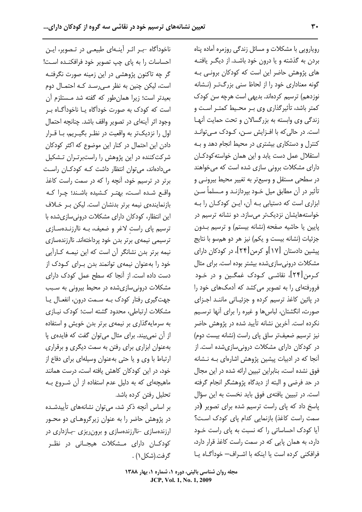ناخودآگاه -بـر اثـر آینـهای طبیعـی در تـصویر، ایـن احساسات را به پای چپ تصویر خود فرافکنـده اسـت! گر چه تاکنون پژوهشی در این زمینه صورت نگرفتـه است، لیکن چنین به نظر مے رسـد کـه احتمـال دوم بعيدتر است؛ زيرا همان طور كه گفته شد مـستلزم آن است که کودک به صورت خودآگاه یـا ناخودآگــاه بــر وجود اثر آینهای در تصویر واقف باشد. چنانچه احتمال اول را نزدیکتر به واقعیت در نظـر بگیـریم، بـا قـرار دادن این احتمال در کنار این موضوع که اکثر کودکان شرکتکننده در این پژوهش را راستبرتـران تـشکیل می دادهاند، می توان انتظار داشت کـه کودکـان راسـت برتر در ترسیم خود، آنچه را که در سمت راست کاغذ واقع شده است، بهتر كشيده باشند؛ چرا كـه بازنمایندهی نیمه برتر بدنشان است. لیکن به خلاف این انتظار، کودکان دارای مشکلات درونی سازی شده با ترسیم پای راست لاغر و ضعیف، بـه ناارزنـدهسـازی ترسیمی نیمهی برتر بدن خود پرداختهاند. ناارزندهسازی نیمه برتر بدن نشانگر آن است که این نیمـه کـارآیی خود را بهعنوان نیمهی توانمند بدن بـرای کـودک از دست داده است. از آنجا که سطح عمل کودک دارای مشکلات درونی سازی شده در محیط بیرونی به سبب جهت گیری رفتار کودک بـه سـمت درون، انفعـال یـا مشکلات ارتباطی، محدود گشته است؛ کودک نیـازی به سرمایه گذاری بر نیمهی برتر بدن خویش و استفاده از آن نمی بیند. برای مثال می توان گفت که فایدهی یا بهعنوان ابزاری برای رفتن به سمت دیگری و برقراری ارتباط با وی و یا حتی بهعنوان وسیلهای برای دفاع از خود، در این کودکان کاهش یافته است، درست همانند ماهیچهای که به دلیل عدم استفاده از آن شـروع بـه تحليل رفتن كرده باشد. بر اساس آنچه ذکر شد، می توان نشانههای تأییدشـده

در پژوهش حاضر را به عنوان زیرگروهـای دو محـور ارزندهسازی -ناارزندهسازی و برون ریزی -بازداری در کودکــان دارای مــشکلات هیجــانی در نظــر گرفت.(شکل ۱) .

رویارویی با مشکلات و مسائل زندگی روزمره آماده پناه بردن به گذشته و یا درون خود باشـد. از دیگـر یافتـه های پژوهش حاضر این است که کودکان برونی بـه گونه معناداری خود را از لحاظ سنی بزرگتر (نشانه نوزدهم) ترسیم کردهاند. بدیهی است هرچه سن کودک كمتر باشد، تأثیرگذاری وی بـر محـیط كمتـر اسـت و زندگی وی وابسته به بزرگسالان و تحت حمایت آنها است. در حالی که با افـزایش سـن، کـودک مـی توانـد کنترل و دستکاری بیشتری در محیط انجام دهد و بـه استقلال عمل دست يابد واين همان خواسته كودكـان دارای مشکلات برونی سازی شده است که می خواهند در سطحی مستقل و وسیعتر به تغییر محیط بیرونـی و تأثیر در آن مطابق میل خـود بپردازنـد و مـسلماً سـن ابزاری است که دستیابی بـه آن، ایـن کودکـان را بـه خواستههایشان نزدیکتر میسازد. دو نشانه ترسیم در پایین یا حاشیه صفحه (نشانه بیستم) و ترسیم بدون جزئيات (نشانه بيست و يكم) نيز هر دو همسو با نتايج پیشین دادستان [۱۷]و کرمن[۲۴]، در کودکان دارای مشکلات درونی سازی شده بیشتر بوده است. برای مثال کـرمن[۲۴]، نقاشـی کـودک غمگـین و در خـود فرورفتهای را به تصویر می کشد که آدمکهای خود را در پائین کاغذ ترسیم کرده و جزئیـاتی ماننـد اجـزای صورت، انگشتان، لباس ها و غیره را برای آنها ترسـیم نكرده است. آخرين نشانه تأييد شده در پژوهش حاضر نیز ترسیم ضعیفتر ساق یای راست (نشانه بیست دوم) در کودکان دارای مشکلات درونیسازیشده است. از آنجا که در ادبیات پیشین پژوهش اشارهای بـه نـشانه فوق نشده است، بنابراین تبیین ارائه شده در این مجال در حد فرضی و البته از دیدگاه پژوهشگر انجام گرفته است. در تبیین یافتهی فوق باید نخست به این سؤال پاسخ داد که پای راست ترسیم شده برای تصویر (در سمت راست كاغذ) بازنمايي كدام پای كودك است؟ آیا کودک احساساتی را که نسبت به پای راست خود دارد، به همان پایی که در سمت راست کاغذ قرار دارد، فرافكنى كرده است يا اينكه با اشـراف- خوداًگـاه يـا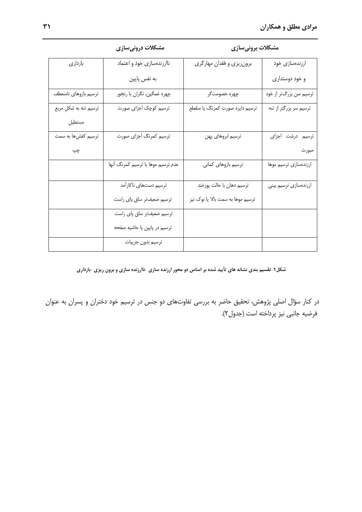مشكلات برونىسازى

| بازدارى               | ناارزندهسازی خود و اعتماد          | برونریزی و فقدان مهارگری          | ارزندهسازی خود              |
|-----------------------|------------------------------------|-----------------------------------|-----------------------------|
|                       | به نفس پایین                       |                                   | و خود دوستداری              |
| ترسيم بازوهاي نامنعطف | چهره غمگین، نگران یا رنجور         | چهره خصومتگر                      | ۔<br>ترسیم سن بزرگتر از خود |
| ترسیم تنه به شکل مربع | ۔<br>ترسیم کوچک اجزا <i>ی</i> صورت | ترسیم دایره صورت کمرنگ یا منقطع   | ترسیم سر بزرگتر از تنه      |
| مستطيل                |                                    |                                   |                             |
| ترسیم کفشها به سمت    | ترسیم کمرنگ اجزای صورت             | ترسيم ابروهاي پهن                 | ترسیم درشت اجزای            |
| چپ                    |                                    |                                   | صورت                        |
|                       | عدم ترسيم موها يا ترسيم كمرنگ أنها | ترسيم بازوهاي كماني               | ارزندهسازى ترسيم موها       |
|                       | ترسیم دستهای ناکارآمد              | ترسیم دهان با حالت پوزخند         | ارزندهسازى ترسيم بينى       |
|                       | ترسیم ضعیفتر ساق پای راست          | ترسیم موها به سمت بالا یا نوک تیز |                             |
|                       | ترسیم ضعیفتر ساق پای راست          |                                   |                             |
|                       | ترسیم در پایین یا حاشیه صفحه       |                                   |                             |
|                       | ترسيم بدون جزييات                  |                                   |                             |

### مشکلات درونیسازی

### شکل ۱. تقسیم بندی نشانه های تأیید شده بر اساس دو محور ارزنده سازی -ناارزنده سازی و برون ریزی -بازداری

در کنار سؤال اصلی پژوهش، تحقیق حاضر به بررسی تفاوتهای دو جنس در ترسیم خود دختران و پسران به عنوان فرضيه جانبي نيز پرداخته است (جدول٢).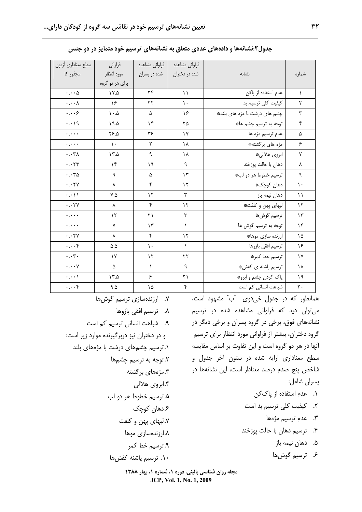| سطح معناداري أزمون             | فراواني                        | فراوانى مشاهده | فراواني مشاهده |                               |               |
|--------------------------------|--------------------------------|----------------|----------------|-------------------------------|---------------|
| مجذور کا                       | مورد انتظار<br>برای هر دو گروه | شده در پسران   | شده در دختران  | نشانه                         | شماره         |
| $\cdots \triangle$             |                                |                |                | عدم استفاده از پاکن           |               |
|                                | $\mathsf{V}.\Delta$            | ۲۴             | $\setminus$    |                               | $\lambda$     |
| $\cdot \cdot \cdot \wedge$     | ۱۶                             | ٢٢             | $\mathcal{L}$  | كيفيت كلى ترسيم بد            | ٢             |
| $\cdots$                       | $\Lambda \cdot \Delta$         | ۵              | ۱۶             | چشم های درشت با مژه های بلند* | ٣             |
| $\cdot \cdot \cdot$ 19         | 19.0                           | ۱۴             | ۲۵             | توجه به ترسیم چشم ها*         | ۴             |
| $\ddotsc$                      | ۶۶.۵                           | ۳۶             | $\gamma$       | عدم ترسيم مژه ها              | ۵             |
| $\ddotsc$                      | $\mathcal{L}$                  | ٢              | ۱۸             | مژه های برگشته*               | ۶             |
| $\cdot \cdot \mathsf{r}$       | $\lambda \sim 0$               | ٩              | ۱۸             | ابروي هلالي*                  | $\mathsf{V}$  |
| $\cdots$ rr                    | $\mathcal{N}$                  | ۱۹             | ٩              | دهان با حالت پوزخند           | λ             |
| $\cdots r_{\Delta}$            | ٩                              | ۵              | ۱۳             | ترسيم خطوط هر دو لب*          | ٩             |
| $\cdot \cdot \tau$ Y           | ٨                              | ۴              | $\gamma$       | دهان کوچک*                    | $\mathcal{L}$ |
| $\cdot \cdot \cdot \wedge$     | $V.\Delta$                     | $\mathcal{N}$  | ٣              | دهان نیمه باز                 | $\setminus$   |
| $\cdot \cdot \mathsf{YY}$      | ٨                              | ۴              | ۱۲             | لبها <i>ی</i> پهن و کلفت*     | $\gamma$      |
| $\ddotsc$                      | $\gamma$                       | ۲۱             | ٣              | ترسيم گوشھا                   | $\gamma$      |
| $\ddotsc$                      | ٧                              | ۱۳             | ١              | توجه به ترسیم گوش ها          | $\gamma$      |
| $\cdot \cdot \cdot \mathsf{Y}$ | λ                              | ۴              | $\gamma$       | ارزنده سازى موها؛             | ۱۵            |
| $\cdots$ ۴                     | $\Delta \Delta$                | ١.             | $\lambda$      | ترسيم افقى بازوها             | ۱۶            |
| $\cdot \cdot \mathbf{y}$ .     | ١٧                             | ١٢             | ۲۲             | ترسيم خط كمر*                 | $\gamma$      |
| $\cdot \cdot \cdot \vee$       | ۵                              | $\lambda$      | ٩              | ترسیم پاشنه <i>ی</i> کفش#     | ١٨            |
| $\cdot$ . $\cdot$ \            | $\lambda$                      | ۶              | ٢١             | پاک کردن چشم و ابرو*          | ۱۹            |
| $\cdots$ ۴                     | ۹. $\Delta$                    | ۱۵             | ۴              | شباهت انسانی کم است           | ٢٠            |

جدول۲:نشانهها و دادههای عددی متعلق به نشانههای ترسیم خود متمایز در دو جنس

۱۰. ترسیم پاشنه کفشها

مجله روان شناسی بالینی، دوره ۱، شماره ۱، بهار ۱۳۸۸ JCP, Vol. 1, No. 1, 2009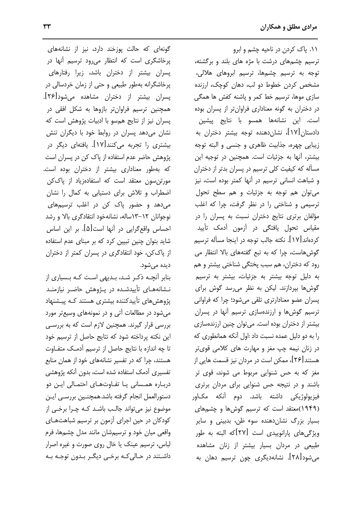گونهای که حالت پوزخند دارد، نیز از نشانههای پرخاشگری است که انتظار میرود ترسیم آنها در پسران بیشتر از دختران باشد، زیرا رفتارها*ی* پرخاشگرانه بهطور طبیعی و حتی از زمان خردسالی در پسران بیشتر از دختران مشاهده میشود[۲۶]. همچنین ترسیم فراوانتر بازوها به شکل افقی در پسران نیز از نتایج همسو با ادبیات پژوهش است که نشان میدهد پسران در روابط خود با دیگران تنش بیشتری را تجربه میکنند[۱۷]. یافتهای دیگر در یژوهش حاضر عدم استفاده از پاک کن در پسران است که بهطور معناداری بیشتر از دختران بوده است. مورتن سون معتقد است که استفادهزیاد از پاککن اضطراب وتلاش برای دستیابی به کمال را نشان می دهد و حضور یاک کن در اغلب ترسی<sub>م</sub>های نوجوانان ١٢-١٣ساله، نشانهخود انتقادگری بالا و رشد احساس واقع گرایی در آنها است[۵]. بر این اساس شاید بتوان چنین تبیین کرد که بر مبنای عدم استفاده از پاککن، خود انتقادگری در پسران کمتر از دختران ديده مے شود.

بنابر آنچــه ذکــر شــد، بــدیهی اسـت کــه بــسیاری از نـشانههـای تأییدشـده در پـژوهش حاضـر نیازمنـد پژوهش های تأییدکننده بیشتری هستند کـه پیـشنهاد می شود در مطالعات آتی و در نمونههای وسیعتر مورد بررسی قرار گیرند. همچنین لازم است که به بررسی این نکته پرداخته شود که نتایج حاصل از ترسیم خود تا چه اندازه با نتایج حاصل از ترسیم آدمـک متفـاوت هستند، چرا که در تفسیر نشانههای خود از همان منابع تفسیری آدمک استفاده شده است، بدون آنکه پژوهشی درباره همسانی یا تفاوتهای احتمالی این دو دستورالعمل انجام گرفته باشد.همچنـین بررسـی ایـن موضوع نيز مي تواند جالب باشـد كـه چـرا برخـي از کودکان در حین اجرای آزمون بر ترسیم شباهتهـای واقعی میان خود و ترسیمشان مانند مدل چشمها، فرم لباس، ترسیم عینک یا خال روی صورت و غیره اصرار داشـتند در حـالي کـه برخـي ديگـر بـدون توجـه بـه

١١. ياک کردن در ناحيه چشم و ابرو ترسیم چشمهای درشت با مژه های بلند و برگشته، توجه به ترسیم چشمها، ترسیم ابروهای هلالی، مشخص کردن خطوط دو لب، دهان کوچک، ارزنده سازی موها، ترسیم خط کمر و پاشنه کفش ها همگی در دختران به گونه معناداری فراوانتر از پسران بوده است. این نشانهها همسو با نتایج پیشین دادستان [۱۷]، نشانِدهنده توجه بیشتر دختران به زيبايي چهره، جذابيت ظاهري و جنسي و البته توجه بيشتر، آنها به جزئيات است. همچنين در توجيه اين مسأله که کیفیت کلی ترسیم در پسران بدتر از دختران و شباهت انسانی ترسیم در آنها کمتر بوده است، نیز مي توان هم توجه به جزئيات و هم سطح تحول ترسیمی و شناختی را در نظر گرفت، چرا که اغلب مؤلفان برتری نتایج دختران نسبت به پسران را در مقیاس تحول یافتگی در أزمون أدمک تأیید كردهاند [١٧]. نكته جالب توجه در اينجا مسأله ترسيم گوش هاست، چرا که به تبع گفتههای بالا انتظار می رود که دختران، هم سبب پختگی شناختی بیشتر و هم به دلیل توجه بیشتر به جزئیات، بیشتر به ترسیم گوشها بپردازند. لیکن به نظر می رسد گوش برای پسران عضو معنادارتری تلقی میشود؛ چرا که فراوانی ترسیم گوشها و ارزندهسازی ترسیم آنها در پسران بیشتر از دختران بوده است. میتوان چنین ارزندهسازی را به دو دلیل عمده نسبت داد :اول آنکه همانطوری که در زنان نیمه چپ مغز و مهارت های کلامی قویتر هستند[۲۶]، ممکن است در مردان نیز قسمت هایی از مغز که به حس شنوایی مربوط می شوند، قوی تر باشند و در نتیجه حس شنوایی برای مردان برتری فیزیولوژیکی داشته باشد. دوم آنکه مک|ور (۱۹۴۹)معتقد است که ترسیم گوشها و چشمهای بسیار بزرگ نشان دهنده سوء ظن، بدبینی و سایر ویژگی های پارانوییدی است [۲۷]که البته به طور طبیعی در مردان بسیار بیشتر از زنان مشاهده میشود[۲۸]. نشانهدیگری چون ترسیم دهان به